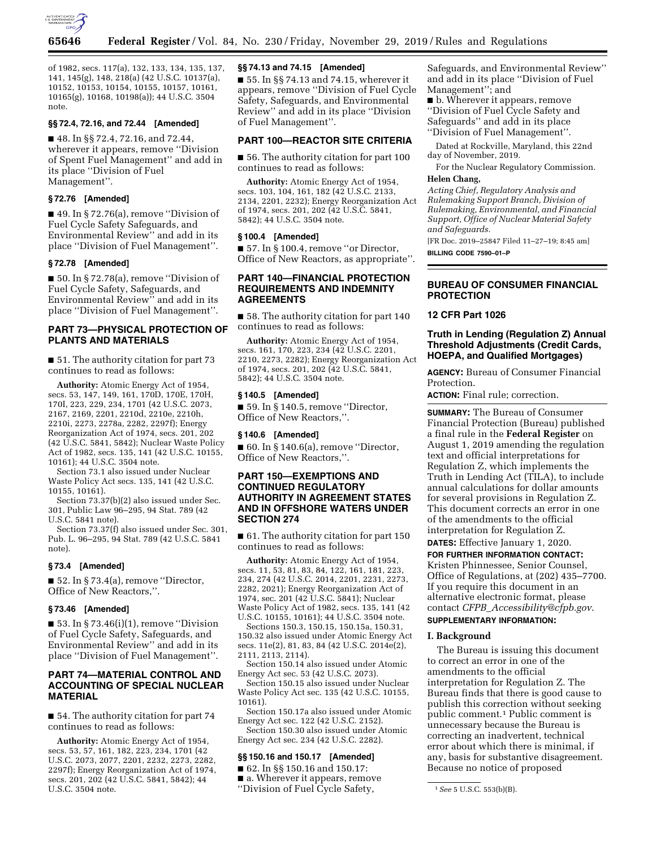

of 1982, secs. 117(a), 132, 133, 134, 135, 137, 141, 145(g), 148, 218(a) (42 U.S.C. 10137(a), 10152, 10153, 10154, 10155, 10157, 10161, 10165(g), 10168, 10198(a)); 44 U.S.C. 3504 note.

## **§§ 72.4, 72.16, and 72.44 [Amended]**

■ 48. In §§ 72.4, 72.16, and 72.44, wherever it appears, remove ''Division of Spent Fuel Management'' and add in its place ''Division of Fuel Management''.

## **§ 72.76 [Amended]**

■ 49. In § 72.76(a), remove "Division of Fuel Cycle Safety Safeguards, and Environmental Review'' and add in its place ''Division of Fuel Management''.

# **§ 72.78 [Amended]**

■ 50. In § 72.78(a), remove "Division of Fuel Cycle Safety, Safeguards, and Environmental Review'' and add in its place ''Division of Fuel Management''.

# **PART 73—PHYSICAL PROTECTION OF PLANTS AND MATERIALS**

■ 51. The authority citation for part 73 continues to read as follows:

**Authority:** Atomic Energy Act of 1954, secs. 53, 147, 149, 161, 170D, 170E, 170H, 170I, 223, 229, 234, 1701 (42 U.S.C. 2073, 2167, 2169, 2201, 2210d, 2210e, 2210h, 2210i, 2273, 2278a, 2282, 2297f); Energy Reorganization Act of 1974, secs. 201, 202 (42 U.S.C. 5841, 5842); Nuclear Waste Policy Act of 1982, secs. 135, 141 (42 U.S.C. 10155, 10161); 44 U.S.C. 3504 note.

Section 73.1 also issued under Nuclear Waste Policy Act secs. 135, 141 (42 U.S.C. 10155, 10161).

Section 73.37(b)(2) also issued under Sec. 301, Public Law 96–295, 94 Stat. 789 (42 U.S.C. 5841 note).

Section 73.37(f) also issued under Sec. 301, Pub. L. 96–295, 94 Stat. 789 (42 U.S.C. 5841 note).

#### **§ 73.4 [Amended]**

 $\blacksquare$  52. In § 73.4(a), remove "Director, Office of New Reactors,''.

#### **§ 73.46 [Amended]**

 $\blacksquare$  53. In § 73.46(i)(1), remove "Division of Fuel Cycle Safety, Safeguards, and Environmental Review'' and add in its place ''Division of Fuel Management''.

# **PART 74—MATERIAL CONTROL AND ACCOUNTING OF SPECIAL NUCLEAR MATERIAL**

■ 54. The authority citation for part 74 continues to read as follows:

**Authority:** Atomic Energy Act of 1954, secs. 53, 57, 161, 182, 223, 234, 1701 (42 U.S.C. 2073, 2077, 2201, 2232, 2273, 2282, 2297f); Energy Reorganization Act of 1974, secs. 201, 202 (42 U.S.C. 5841, 5842); 44 U.S.C. 3504 note.

# **§§ 74.13 and 74.15 [Amended]**

■ 55. In §§ 74.13 and 74.15, wherever it appears, remove ''Division of Fuel Cycle Safety, Safeguards, and Environmental Review'' and add in its place ''Division of Fuel Management''.

## **PART 100—REACTOR SITE CRITERIA**

■ 56. The authority citation for part 100 continues to read as follows:

**Authority:** Atomic Energy Act of 1954, secs. 103, 104, 161, 182 (42 U.S.C. 2133, 2134, 2201, 2232); Energy Reorganization Act of 1974, secs. 201, 202 (42 U.S.C. 5841, 5842); 44 U.S.C. 3504 note.

### **§ 100.4 [Amended]**

■ 57. In § 100.4, remove "or Director, Office of New Reactors, as appropriate''.

# **PART 140—FINANCIAL PROTECTION REQUIREMENTS AND INDEMNITY AGREEMENTS**

■ 58. The authority citation for part 140 continues to read as follows:

**Authority:** Atomic Energy Act of 1954, secs. 161, 170, 223, 234 (42 U.S.C. 2201, 2210, 2273, 2282); Energy Reorganization Act of 1974, secs. 201, 202 (42 U.S.C. 5841, 5842); 44 U.S.C. 3504 note.

#### **§ 140.5 [Amended]**

 $\blacksquare$  59. In § 140.5, remove "Director, Office of New Reactors,''.

#### **§ 140.6 [Amended]**

 $\blacksquare$  60. In § 140.6(a), remove "Director, Office of New Reactors,''.

# **PART 150—EXEMPTIONS AND CONTINUED REGULATORY AUTHORITY IN AGREEMENT STATES AND IN OFFSHORE WATERS UNDER SECTION 274**

■ 61. The authority citation for part 150 continues to read as follows:

**Authority:** Atomic Energy Act of 1954, secs. 11, 53, 81, 83, 84, 122, 161, 181, 223, 234, 274 (42 U.S.C. 2014, 2201, 2231, 2273, 2282, 2021); Energy Reorganization Act of 1974, sec. 201 (42 U.S.C. 5841); Nuclear Waste Policy Act of 1982, secs. 135, 141 (42 U.S.C. 10155, 10161); 44 U.S.C. 3504 note.

Sections 150.3, 150.15, 150.15a, 150.31, 150.32 also issued under Atomic Energy Act secs. 11e(2), 81, 83, 84 (42 U.S.C. 2014e(2), 2111, 2113, 2114).

Section 150.14 also issued under Atomic Energy Act sec. 53 (42 U.S.C. 2073).

Section 150.15 also issued under Nuclear Waste Policy Act sec. 135 (42 U.S.C. 10155, 10161).

Section 150.17a also issued under Atomic Energy Act sec. 122 (42 U.S.C. 2152).

Section 150.30 also issued under Atomic Energy Act sec. 234 (42 U.S.C. 2282).

# **§§ 150.16 and 150.17 [Amended]**

■ 62. In §§ 150.16 and 150.17: ■ a. Wherever it appears, remove ''Division of Fuel Cycle Safety,

Safeguards, and Environmental Review'' and add in its place ''Division of Fuel Management''; and

■ b. Wherever it appears, remove ''Division of Fuel Cycle Safety and Safeguards'' and add in its place ''Division of Fuel Management''.

Dated at Rockville, Maryland, this 22nd day of November, 2019.

For the Nuclear Regulatory Commission. **Helen Chang,** 

*Acting Chief, Regulatory Analysis and Rulemaking Support Branch, Division of Rulemaking, Environmental, and Financial Support, Office of Nuclear Material Safety and Safeguards.* 

[FR Doc. 2019–25847 Filed 11–27–19; 8:45 am] **BILLING CODE 7590–01–P** 

# **BUREAU OF CONSUMER FINANCIAL PROTECTION**

# **12 CFR Part 1026**

# **Truth in Lending (Regulation Z) Annual Threshold Adjustments (Credit Cards, HOEPA, and Qualified Mortgages)**

**AGENCY:** Bureau of Consumer Financial Protection.

**ACTION:** Final rule; correction.

**SUMMARY:** The Bureau of Consumer Financial Protection (Bureau) published a final rule in the **Federal Register** on August 1, 2019 amending the regulation text and official interpretations for Regulation Z, which implements the Truth in Lending Act (TILA), to include annual calculations for dollar amounts for several provisions in Regulation Z. This document corrects an error in one of the amendments to the official interpretation for Regulation Z.

**DATES:** Effective January 1, 2020.

**FOR FURTHER INFORMATION CONTACT:**  Kristen Phinnessee, Senior Counsel, Office of Regulations, at (202) 435–7700. If you require this document in an alternative electronic format, please contact *CFPB*\_*[Accessibility@cfpb.gov](mailto:CFPB_Accessibility@cfpb.gov)*. **SUPPLEMENTARY INFORMATION:** 

# **I. Background**

The Bureau is issuing this document to correct an error in one of the amendments to the official interpretation for Regulation Z. The Bureau finds that there is good cause to publish this correction without seeking public comment.1 Public comment is unnecessary because the Bureau is correcting an inadvertent, technical error about which there is minimal, if any, basis for substantive disagreement. Because no notice of proposed

<sup>1</sup>*See* 5 U.S.C. 553(b)(B).